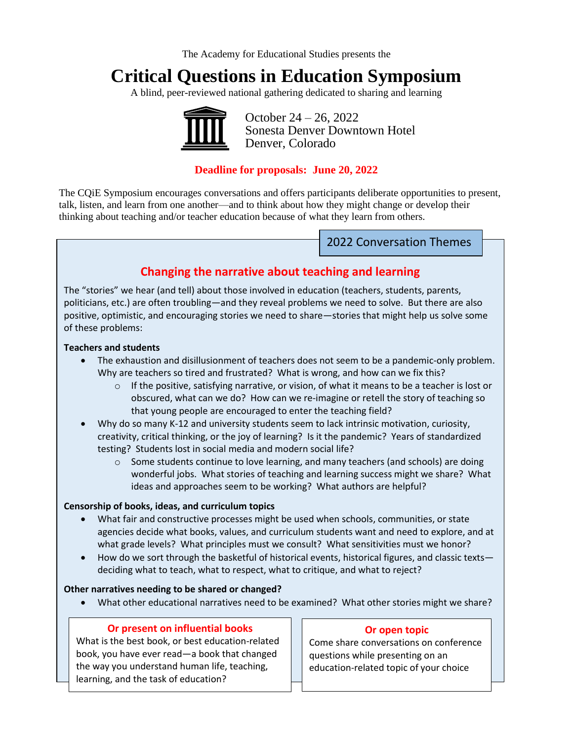The Academy for Educational Studies presents the

# **Critical Questions in Education Symposium**

A blind, peer-reviewed national gathering dedicated to sharing and learning



 October 24 – 26, 2022 Sonesta Denver Downtown Hotel Denver, Colorado

### **Deadline for proposals: June 20, 2022**

The CQiE Symposium encourages conversations and offers participants deliberate opportunities to present, talk, listen, and learn from one another—and to think about how they might change or develop their thinking about teaching and/or teacher education because of what they learn from others.

2022 Conversation Themes

#### **Changing the narrative about teaching and learning** sQuestions

The "stories" we hear (and tell) about those involved in education (teachers, students, parents, politicians, etc.) are often troubling—and they reveal problems we need to solve. But there are also positive, optimistic, and encouraging stories we need to share—stories that might help us solve some of these problems:

#### **Teachers and students**

- The exhaustion and disillusionment of teachers does not seem to be a pandemic-only problem. Why are teachers so tired and frustrated? What is wrong, and how can we fix this?
	- $\circ$  If the positive, satisfying narrative, or vision, of what it means to be a teacher is lost or obscured, what can we do? How can we re-imagine or retell the story of teaching so that young people are encouraged to enter the teaching field?
- Why do so many K-12 and university students seem to lack intrinsic motivation, curiosity, creativity, critical thinking, or the joy of learning? Is it the pandemic? Years of standardized testing? Students lost in social media and modern social life?
	- $\circ$  Some students continue to love learning, and many teachers (and schools) are doing wonderful jobs. What stories of teaching and learning success might we share? What ideas and approaches seem to be working? What authors are helpful?

#### **Censorship of books, ideas, and curriculum topics**

- What fair and constructive processes might be used when schools, communities, or state agencies decide what books, values, and curriculum students want and need to explore, and at what grade levels? What principles must we consult? What sensitivities must we honor?
- How do we sort through the basketful of historical events, historical figures, and classic texts deciding what to teach, what to respect, what to critique, and what to reject?

#### **Other narratives needing to be shared or changed?**

• What other educational narratives need to be examined? What other stories might we share?

#### **Or present on influential books**

What is the best book, or best education-related book, you have ever read—a book that changed the way you understand human life, teaching, learning, and the task of education?

#### **Or open topic**

Come share conversations on conference questions while presenting on an education-related topic of your choice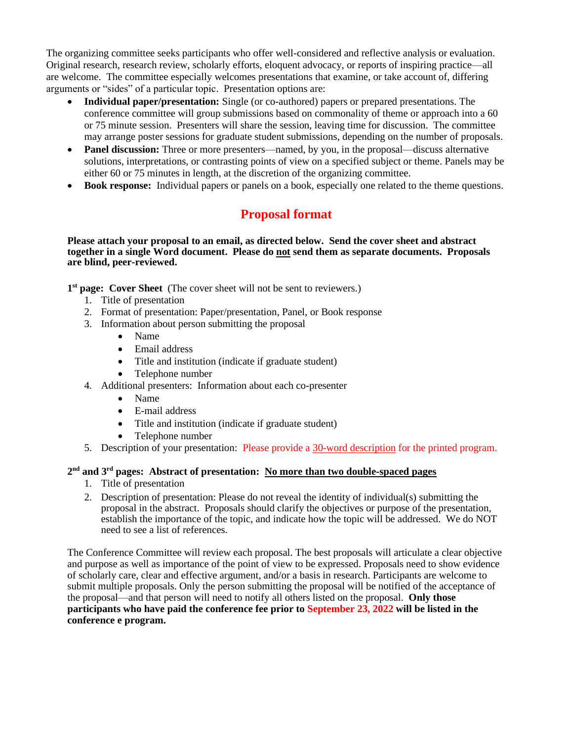The organizing committee seeks participants who offer well-considered and reflective analysis or evaluation. Original research, research review, scholarly efforts, eloquent advocacy, or reports of inspiring practice—all are welcome. The committee especially welcomes presentations that examine, or take account of, differing arguments or "sides" of a particular topic. Presentation options are:

- **Individual paper/presentation:** Single (or co-authored) papers or prepared presentations. The conference committee will group submissions based on commonality of theme or approach into a 60 or 75 minute session. Presenters will share the session, leaving time for discussion. The committee may arrange poster sessions for graduate student submissions, depending on the number of proposals.
- **Panel discussion:** Three or more presenters—named, by you, in the proposal—discuss alternative solutions, interpretations, or contrasting points of view on a specified subject or theme. Panels may be either 60 or 75 minutes in length, at the discretion of the organizing committee.
- **Book response:** Individual papers or panels on a book, especially one related to the theme questions.

## **Proposal format**

#### **Please attach your proposal to an email, as directed below. Send the cover sheet and abstract together in a single Word document. Please do not send them as separate documents. Proposals are blind, peer-reviewed.**

1<sup>st</sup> page: Cover Sheet (The cover sheet will not be sent to reviewers.)

- 1. Title of presentation
- 2. Format of presentation: Paper/presentation, Panel, or Book response
- 3. Information about person submitting the proposal
	- Name
	- Email address
	- Title and institution (indicate if graduate student)
	- Telephone number
- 4. Additional presenters: Information about each co-presenter
	- Name
	- E-mail address
	- Title and institution (indicate if graduate student)
	- Telephone number
- 5. Description of your presentation: Please provide a 30-word description for the printed program.

#### **2 nd and 3rd pages: Abstract of presentation: No more than two double-spaced pages**

- 1. Title of presentation
- 2. Description of presentation: Please do not reveal the identity of individual(s) submitting the proposal in the abstract. Proposals should clarify the objectives or purpose of the presentation, establish the importance of the topic, and indicate how the topic will be addressed. We do NOT need to see a list of references.

The Conference Committee will review each proposal. The best proposals will articulate a clear objective and purpose as well as importance of the point of view to be expressed. Proposals need to show evidence of scholarly care, clear and effective argument, and/or a basis in research. Participants are welcome to submit multiple proposals. Only the person submitting the proposal will be notified of the acceptance of the proposal—and that person will need to notify all others listed on the proposal. **Only those participants who have paid the conference fee prior to September 23, 2022 will be listed in the conference e program.**